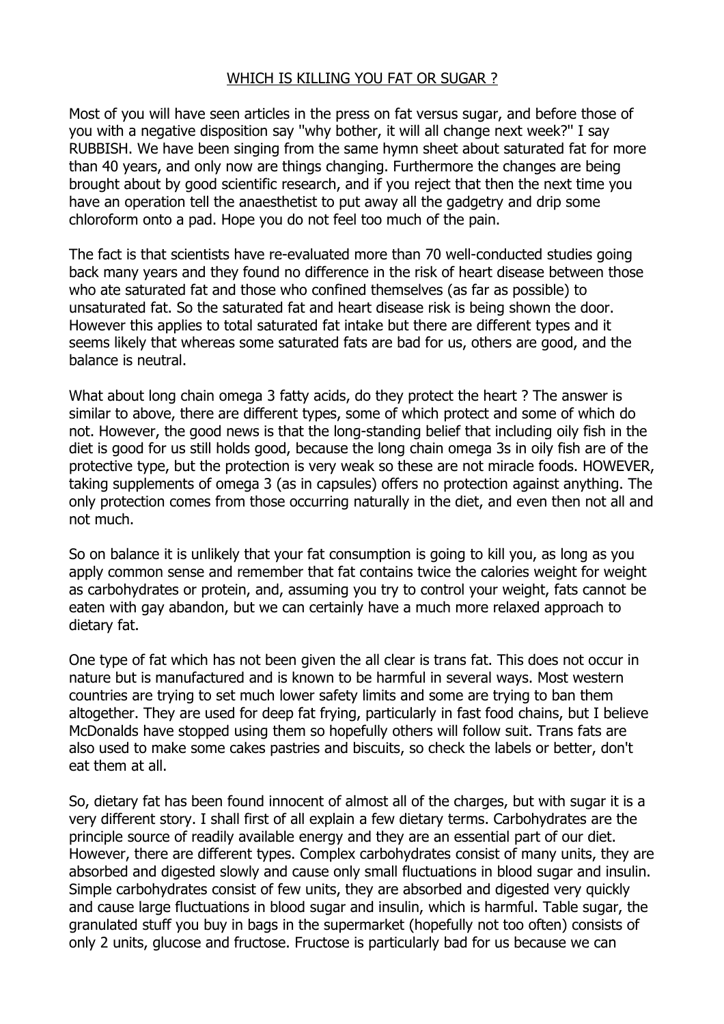## WHICH IS KILLING YOU FAT OR SUGAR ?

Most of you will have seen articles in the press on fat versus sugar, and before those of you with a negative disposition say ''why bother, it will all change next week?'' I say RUBBISH. We have been singing from the same hymn sheet about saturated fat for more than 40 years, and only now are things changing. Furthermore the changes are being brought about by good scientific research, and if you reject that then the next time you have an operation tell the anaesthetist to put away all the gadgetry and drip some chloroform onto a pad. Hope you do not feel too much of the pain.

The fact is that scientists have re-evaluated more than 70 well-conducted studies going back many years and they found no difference in the risk of heart disease between those who ate saturated fat and those who confined themselves (as far as possible) to unsaturated fat. So the saturated fat and heart disease risk is being shown the door. However this applies to total saturated fat intake but there are different types and it seems likely that whereas some saturated fats are bad for us, others are good, and the balance is neutral.

What about long chain omega 3 fatty acids, do they protect the heart ? The answer is similar to above, there are different types, some of which protect and some of which do not. However, the good news is that the long-standing belief that including oily fish in the diet is good for us still holds good, because the long chain omega 3s in oily fish are of the protective type, but the protection is very weak so these are not miracle foods. HOWEVER, taking supplements of omega 3 (as in capsules) offers no protection against anything. The only protection comes from those occurring naturally in the diet, and even then not all and not much.

So on balance it is unlikely that your fat consumption is going to kill you, as long as you apply common sense and remember that fat contains twice the calories weight for weight as carbohydrates or protein, and, assuming you try to control your weight, fats cannot be eaten with gay abandon, but we can certainly have a much more relaxed approach to dietary fat.

One type of fat which has not been given the all clear is trans fat. This does not occur in nature but is manufactured and is known to be harmful in several ways. Most western countries are trying to set much lower safety limits and some are trying to ban them altogether. They are used for deep fat frying, particularly in fast food chains, but I believe McDonalds have stopped using them so hopefully others will follow suit. Trans fats are also used to make some cakes pastries and biscuits, so check the labels or better, don't eat them at all.

So, dietary fat has been found innocent of almost all of the charges, but with sugar it is a very different story. I shall first of all explain a few dietary terms. Carbohydrates are the principle source of readily available energy and they are an essential part of our diet. However, there are different types. Complex carbohydrates consist of many units, they are absorbed and digested slowly and cause only small fluctuations in blood sugar and insulin. Simple carbohydrates consist of few units, they are absorbed and digested very quickly and cause large fluctuations in blood sugar and insulin, which is harmful. Table sugar, the granulated stuff you buy in bags in the supermarket (hopefully not too often) consists of only 2 units, glucose and fructose. Fructose is particularly bad for us because we can